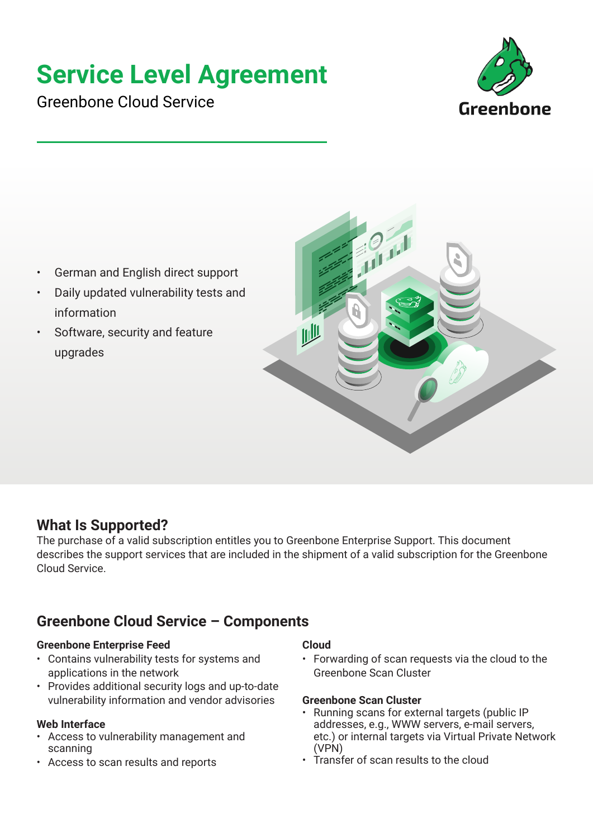# **Service Level Agreement**

Greenbone Cloud Service



- German and English direct support
- Daily updated vulnerability tests and information
- Software, security and feature upgrades



## **What Is Supported?**

The purchase of a valid subscription entitles you to Greenbone Enterprise Support. This document describes the support services that are included in the shipment of a valid subscription for the Greenbone Cloud Service.

# **Greenbone Cloud Service – Components**

## **Greenbone Enterprise Feed**

- Contains vulnerability tests for systems and applications in the network
- Provides additional security logs and up-to-date vulnerability information and vendor advisories

## **Web Interface**

- Access to vulnerability management and scanning
- Access to scan results and reports

## **Cloud**

• Forwarding of scan requests via the cloud to the Greenbone Scan Cluster

## **Greenbone Scan Cluster**

- Running scans for external targets (public IP addresses, e.g., WWW servers, e-mail servers, etc.) or internal targets via Virtual Private Network (VPN)
- Transfer of scan results to the cloud